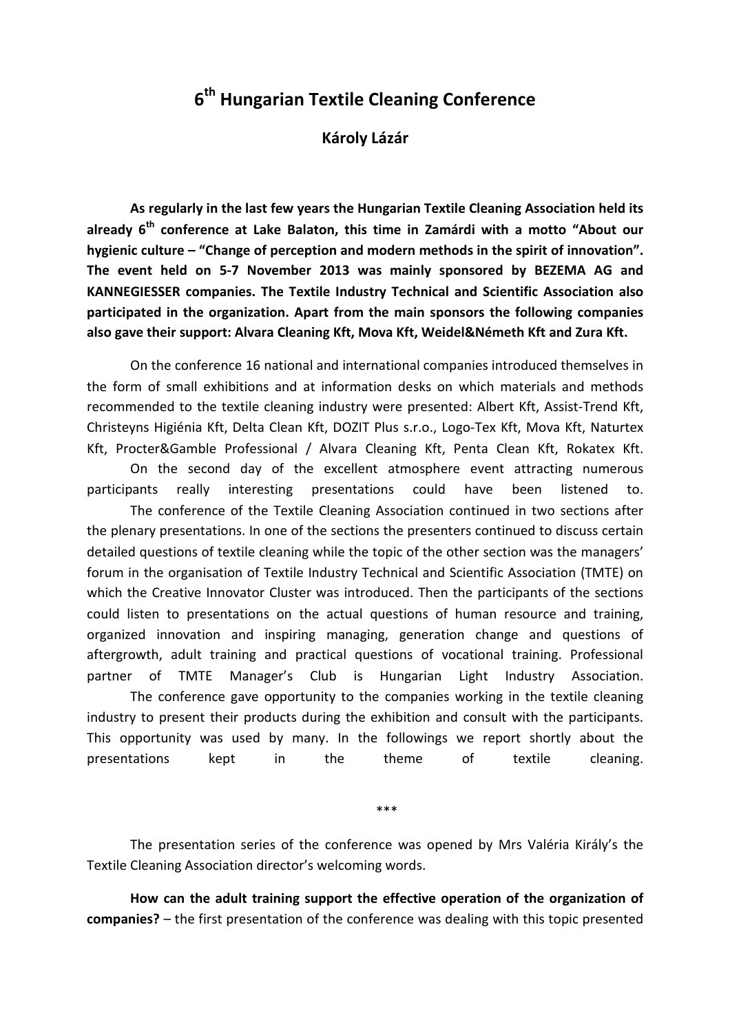## 6<sup>th</sup> Hungarian Textile Cleaning Conference

Károly Lázár

As regularly in the last few years the Hungarian Textile Cleaning Association held its already  $6<sup>th</sup>$  conference at Lake Balaton, this time in Zamárdi with a motto "About our hygienic culture – "Change of perception and modern methods in the spirit of innovation". The event held on 5-7 November 2013 was mainly sponsored by BEZEMA AG and KANNEGIESSER companies. The Textile Industry Technical and Scientific Association also participated in the organization. Apart from the main sponsors the following companies also gave their support: Alvara Cleaning Kft, Mova Kft, Weidel&Németh Kft and Zura Kft.

On the conference 16 national and international companies introduced themselves in the form of small exhibitions and at information desks on which materials and methods recommended to the textile cleaning industry were presented: Albert Kft, Assist-Trend Kft, Christeyns Higiénia Kft, Delta Clean Kft, DOZIT Plus s.r.o., Logo-Tex Kft, Mova Kft, Naturtex Kft, Procter&Gamble Professional / Alvara Cleaning Kft, Penta Clean Kft, Rokatex Kft.

 On the second day of the excellent atmosphere event attracting numerous participants really interesting presentations could have been listened to.

 The conference of the Textile Cleaning Association continued in two sections after the plenary presentations. In one of the sections the presenters continued to discuss certain detailed questions of textile cleaning while the topic of the other section was the managers' forum in the organisation of Textile Industry Technical and Scientific Association (TMTE) on which the Creative Innovator Cluster was introduced. Then the participants of the sections could listen to presentations on the actual questions of human resource and training, organized innovation and inspiring managing, generation change and questions of aftergrowth, adult training and practical questions of vocational training. Professional partner of TMTE Manager's Club is Hungarian Light Industry Association.

 The conference gave opportunity to the companies working in the textile cleaning industry to present their products during the exhibition and consult with the participants. This opportunity was used by many. In the followings we report shortly about the presentations kept in the theme of textile cleaning.

\*\*\*

The presentation series of the conference was opened by Mrs Valéria Király's the Textile Cleaning Association director's welcoming words.

How can the adult training support the effective operation of the organization of companies? – the first presentation of the conference was dealing with this topic presented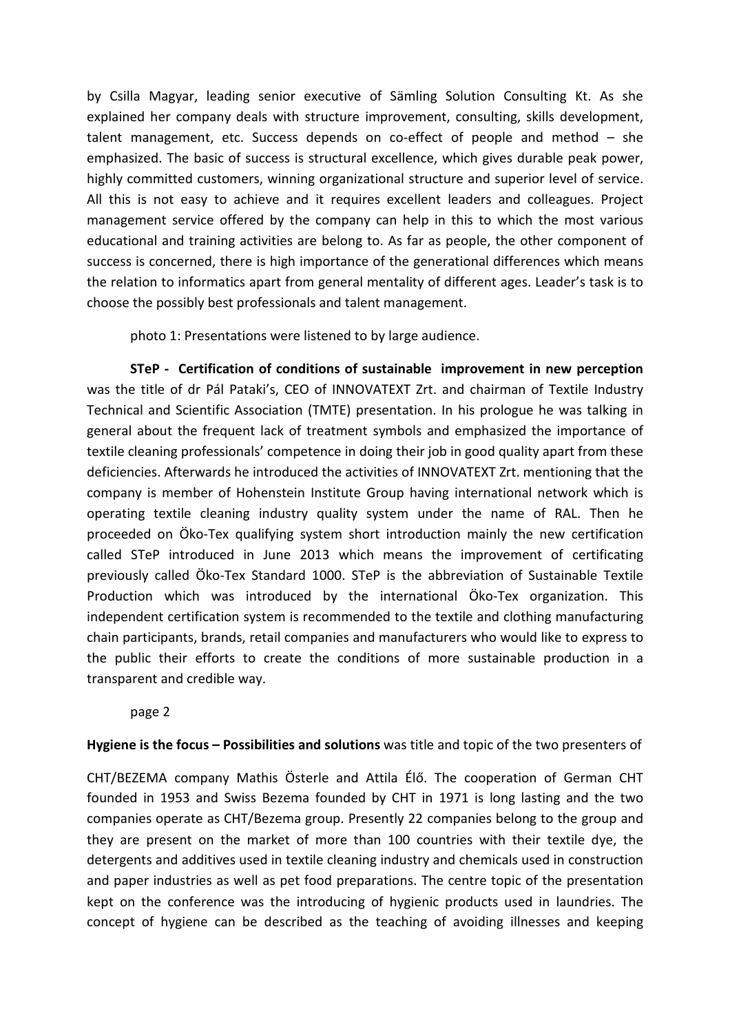by Csilla Magyar, leading senior executive of Sämling Solution Consulting Kt. As she explained her company deals with structure improvement, consulting, skills development, talent management, etc. Success depends on co-effect of people and method – she emphasized. The basic of success is structural excellence, which gives durable peak power, highly committed customers, winning organizational structure and superior level of service. All this is not easy to achieve and it requires excellent leaders and colleagues. Project management service offered by the company can help in this to which the most various educational and training activities are belong to. As far as people, the other component of success is concerned, there is high importance of the generational differences which means the relation to informatics apart from general mentality of different ages. Leader's task is to choose the possibly best professionals and talent management.

photo 1: Presentations were listened to by large audience.

STeP - Certification of conditions of sustainable improvement in new perception was the title of dr Pál Pataki's, CEO of INNOVATEXT Zrt. and chairman of Textile Industry Technical and Scientific Association (TMTE) presentation. In his prologue he was talking in general about the frequent lack of treatment symbols and emphasized the importance of textile cleaning professionals' competence in doing their job in good quality apart from these deficiencies. Afterwards he introduced the activities of INNOVATEXT Zrt. mentioning that the company is member of Hohenstein Institute Group having international network which is operating textile cleaning industry quality system under the name of RAL. Then he proceeded on Öko-Tex qualifying system short introduction mainly the new certification called STeP introduced in June 2013 which means the improvement of certificating previously called Öko-Tex Standard 1000. STeP is the abbreviation of Sustainable Textile Production which was introduced by the international Öko-Tex organization. This independent certification system is recommended to the textile and clothing manufacturing chain participants, brands, retail companies and manufacturers who would like to express to the public their efforts to create the conditions of more sustainable production in a transparent and credible way.

page 2

Hygiene is the focus – Possibilities and solutions was title and topic of the two presenters of

CHT/BEZEMA company Mathis Österle and Attila Élő. The cooperation of German CHT founded in 1953 and Swiss Bezema founded by CHT in 1971 is long lasting and the two companies operate as CHT/Bezema group. Presently 22 companies belong to the group and they are present on the market of more than 100 countries with their textile dye, the detergents and additives used in textile cleaning industry and chemicals used in construction and paper industries as well as pet food preparations. The centre topic of the presentation kept on the conference was the introducing of hygienic products used in laundries. The concept of hygiene can be described as the teaching of avoiding illnesses and keeping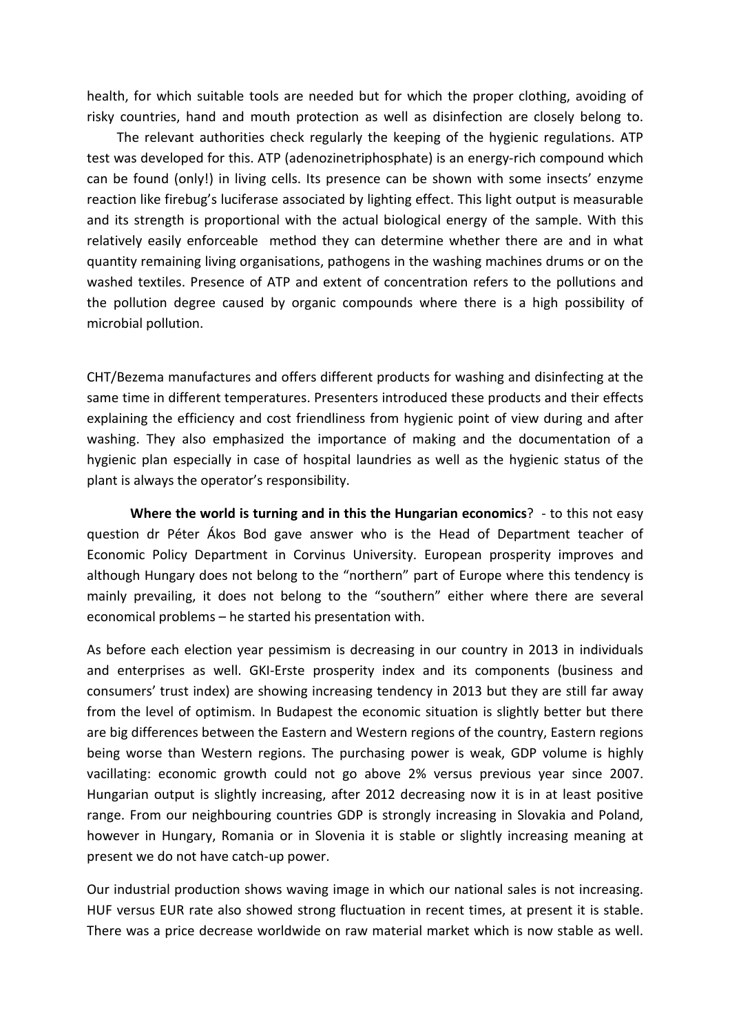health, for which suitable tools are needed but for which the proper clothing, avoiding of risky countries, hand and mouth protection as well as disinfection are closely belong to.

 The relevant authorities check regularly the keeping of the hygienic regulations. ATP test was developed for this. ATP (adenozinetriphosphate) is an energy-rich compound which can be found (only!) in living cells. Its presence can be shown with some insects' enzyme reaction like firebug's luciferase associated by lighting effect. This light output is measurable and its strength is proportional with the actual biological energy of the sample. With this relatively easily enforceable method they can determine whether there are and in what quantity remaining living organisations, pathogens in the washing machines drums or on the washed textiles. Presence of ATP and extent of concentration refers to the pollutions and the pollution degree caused by organic compounds where there is a high possibility of microbial pollution.

CHT/Bezema manufactures and offers different products for washing and disinfecting at the same time in different temperatures. Presenters introduced these products and their effects explaining the efficiency and cost friendliness from hygienic point of view during and after washing. They also emphasized the importance of making and the documentation of a hygienic plan especially in case of hospital laundries as well as the hygienic status of the plant is always the operator's responsibility.

Where the world is turning and in this the Hungarian economics? - to this not easy question dr Péter Ákos Bod gave answer who is the Head of Department teacher of Economic Policy Department in Corvinus University. European prosperity improves and although Hungary does not belong to the "northern" part of Europe where this tendency is mainly prevailing, it does not belong to the "southern" either where there are several economical problems – he started his presentation with.

As before each election year pessimism is decreasing in our country in 2013 in individuals and enterprises as well. GKI-Erste prosperity index and its components (business and consumers' trust index) are showing increasing tendency in 2013 but they are still far away from the level of optimism. In Budapest the economic situation is slightly better but there are big differences between the Eastern and Western regions of the country, Eastern regions being worse than Western regions. The purchasing power is weak, GDP volume is highly vacillating: economic growth could not go above 2% versus previous year since 2007. Hungarian output is slightly increasing, after 2012 decreasing now it is in at least positive range. From our neighbouring countries GDP is strongly increasing in Slovakia and Poland, however in Hungary, Romania or in Slovenia it is stable or slightly increasing meaning at present we do not have catch-up power.

Our industrial production shows waving image in which our national sales is not increasing. HUF versus EUR rate also showed strong fluctuation in recent times, at present it is stable. There was a price decrease worldwide on raw material market which is now stable as well.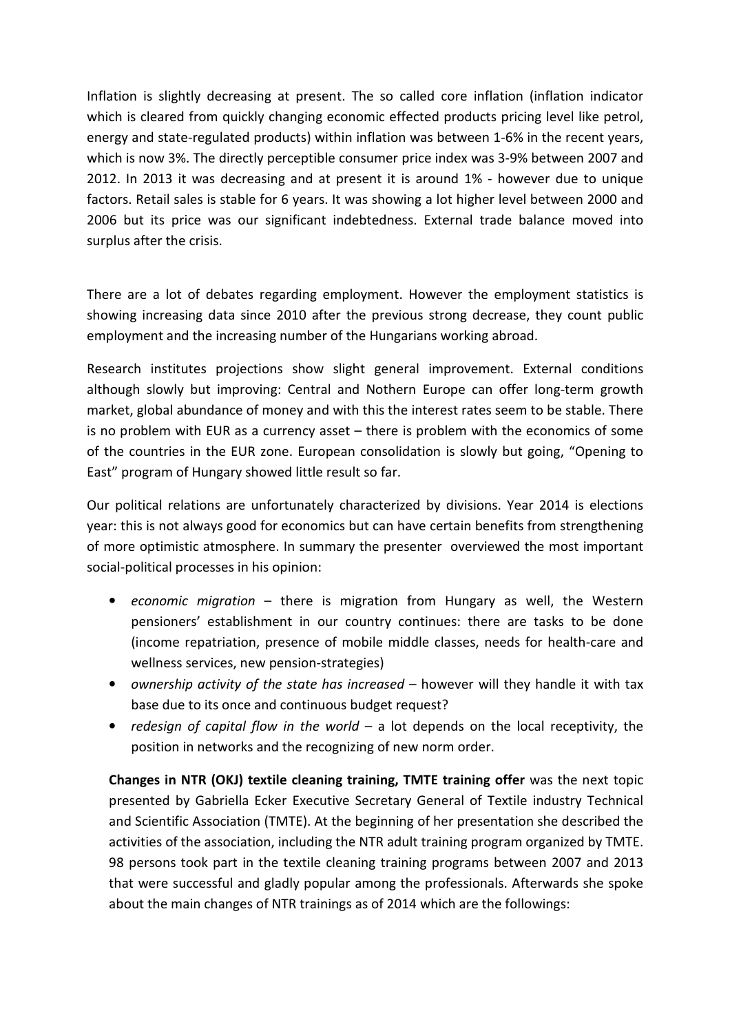Inflation is slightly decreasing at present. The so called core inflation (inflation indicator which is cleared from quickly changing economic effected products pricing level like petrol, energy and state-regulated products) within inflation was between 1-6% in the recent years, which is now 3%. The directly perceptible consumer price index was 3-9% between 2007 and 2012. In 2013 it was decreasing and at present it is around 1% - however due to unique factors. Retail sales is stable for 6 years. It was showing a lot higher level between 2000 and 2006 but its price was our significant indebtedness. External trade balance moved into surplus after the crisis.

There are a lot of debates regarding employment. However the employment statistics is showing increasing data since 2010 after the previous strong decrease, they count public employment and the increasing number of the Hungarians working abroad.

Research institutes projections show slight general improvement. External conditions although slowly but improving: Central and Nothern Europe can offer long-term growth market, global abundance of money and with this the interest rates seem to be stable. There is no problem with EUR as a currency asset – there is problem with the economics of some of the countries in the EUR zone. European consolidation is slowly but going, "Opening to East" program of Hungary showed little result so far.

Our political relations are unfortunately characterized by divisions. Year 2014 is elections year: this is not always good for economics but can have certain benefits from strengthening of more optimistic atmosphere. In summary the presenter overviewed the most important social-political processes in his opinion:

- economic migration there is migration from Hungary as well, the Western pensioners' establishment in our country continues: there are tasks to be done (income repatriation, presence of mobile middle classes, needs for health-care and wellness services, new pension-strategies)
- ownership activity of the state has increased however will they handle it with tax base due to its once and continuous budget request?
- redesign of capital flow in the world a lot depends on the local receptivity, the position in networks and the recognizing of new norm order.

Changes in NTR (OKJ) textile cleaning training, TMTE training offer was the next topic presented by Gabriella Ecker Executive Secretary General of Textile industry Technical and Scientific Association (TMTE). At the beginning of her presentation she described the activities of the association, including the NTR adult training program organized by TMTE. 98 persons took part in the textile cleaning training programs between 2007 and 2013 that were successful and gladly popular among the professionals. Afterwards she spoke about the main changes of NTR trainings as of 2014 which are the followings: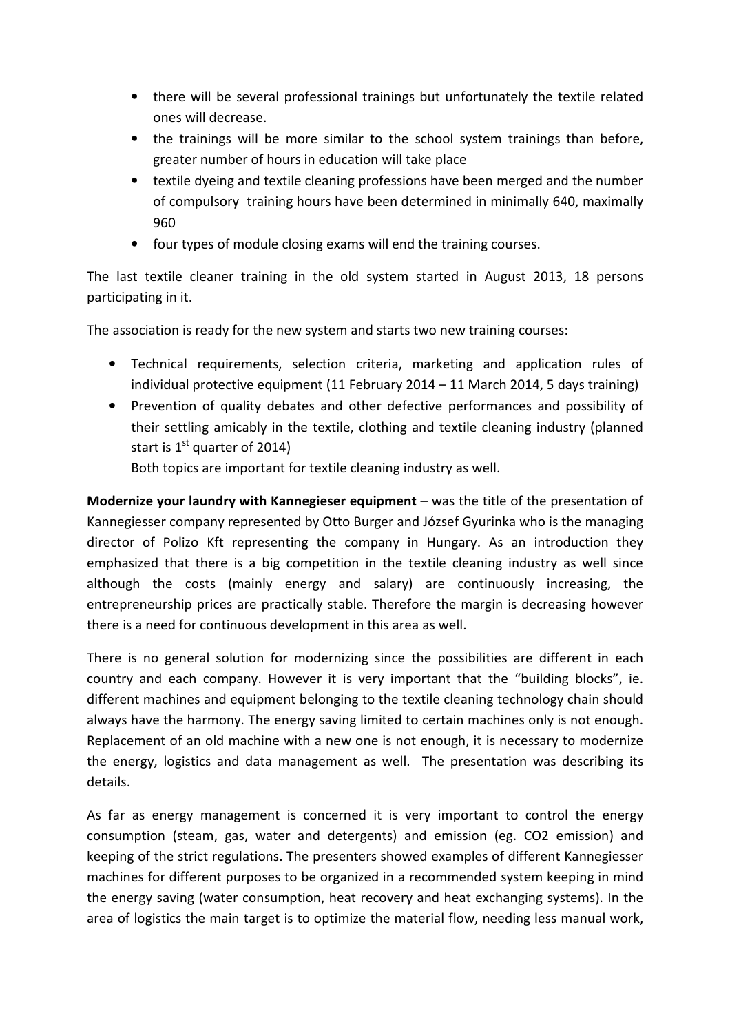- there will be several professional trainings but unfortunately the textile related ones will decrease.
- the trainings will be more similar to the school system trainings than before, greater number of hours in education will take place
- textile dyeing and textile cleaning professions have been merged and the number of compulsory training hours have been determined in minimally 640, maximally 960
- four types of module closing exams will end the training courses.

The last textile cleaner training in the old system started in August 2013, 18 persons participating in it.

The association is ready for the new system and starts two new training courses:

- Technical requirements, selection criteria, marketing and application rules of individual protective equipment (11 February 2014 – 11 March 2014, 5 days training)
- Prevention of quality debates and other defective performances and possibility of their settling amicably in the textile, clothing and textile cleaning industry (planned start is  $1<sup>st</sup>$  quarter of 2014)

Both topics are important for textile cleaning industry as well.

Modernize your laundry with Kannegieser equipment – was the title of the presentation of Kannegiesser company represented by Otto Burger and József Gyurinka who is the managing director of Polizo Kft representing the company in Hungary. As an introduction they emphasized that there is a big competition in the textile cleaning industry as well since although the costs (mainly energy and salary) are continuously increasing, the entrepreneurship prices are practically stable. Therefore the margin is decreasing however there is a need for continuous development in this area as well.

There is no general solution for modernizing since the possibilities are different in each country and each company. However it is very important that the "building blocks", ie. different machines and equipment belonging to the textile cleaning technology chain should always have the harmony. The energy saving limited to certain machines only is not enough. Replacement of an old machine with a new one is not enough, it is necessary to modernize the energy, logistics and data management as well. The presentation was describing its details.

As far as energy management is concerned it is very important to control the energy consumption (steam, gas, water and detergents) and emission (eg. CO2 emission) and keeping of the strict regulations. The presenters showed examples of different Kannegiesser machines for different purposes to be organized in a recommended system keeping in mind the energy saving (water consumption, heat recovery and heat exchanging systems). In the area of logistics the main target is to optimize the material flow, needing less manual work,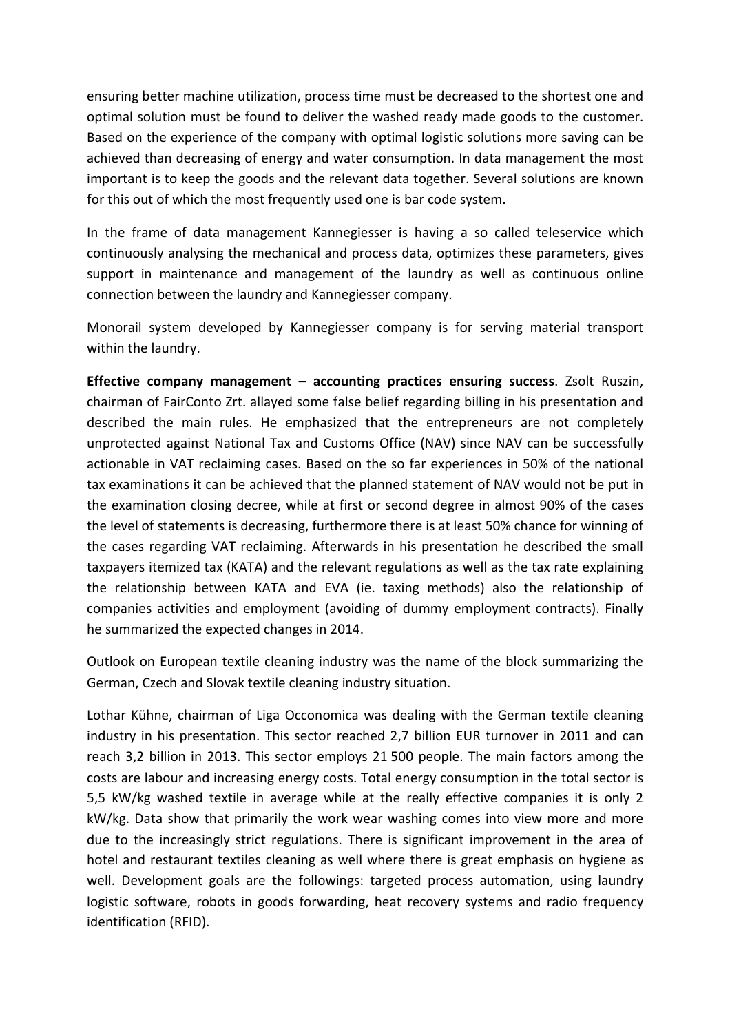ensuring better machine utilization, process time must be decreased to the shortest one and optimal solution must be found to deliver the washed ready made goods to the customer. Based on the experience of the company with optimal logistic solutions more saving can be achieved than decreasing of energy and water consumption. In data management the most important is to keep the goods and the relevant data together. Several solutions are known for this out of which the most frequently used one is bar code system.

In the frame of data management Kannegiesser is having a so called teleservice which continuously analysing the mechanical and process data, optimizes these parameters, gives support in maintenance and management of the laundry as well as continuous online connection between the laundry and Kannegiesser company.

Monorail system developed by Kannegiesser company is for serving material transport within the laundry.

Effective company management – accounting practices ensuring success. Zsolt Ruszin, chairman of FairConto Zrt. allayed some false belief regarding billing in his presentation and described the main rules. He emphasized that the entrepreneurs are not completely unprotected against National Tax and Customs Office (NAV) since NAV can be successfully actionable in VAT reclaiming cases. Based on the so far experiences in 50% of the national tax examinations it can be achieved that the planned statement of NAV would not be put in the examination closing decree, while at first or second degree in almost 90% of the cases the level of statements is decreasing, furthermore there is at least 50% chance for winning of the cases regarding VAT reclaiming. Afterwards in his presentation he described the small taxpayers itemized tax (KATA) and the relevant regulations as well as the tax rate explaining the relationship between KATA and EVA (ie. taxing methods) also the relationship of companies activities and employment (avoiding of dummy employment contracts). Finally he summarized the expected changes in 2014.

Outlook on European textile cleaning industry was the name of the block summarizing the German, Czech and Slovak textile cleaning industry situation.

Lothar Kühne, chairman of Liga Occonomica was dealing with the German textile cleaning industry in his presentation. This sector reached 2,7 billion EUR turnover in 2011 and can reach 3,2 billion in 2013. This sector employs 21 500 people. The main factors among the costs are labour and increasing energy costs. Total energy consumption in the total sector is 5,5 kW/kg washed textile in average while at the really effective companies it is only 2 kW/kg. Data show that primarily the work wear washing comes into view more and more due to the increasingly strict regulations. There is significant improvement in the area of hotel and restaurant textiles cleaning as well where there is great emphasis on hygiene as well. Development goals are the followings: targeted process automation, using laundry logistic software, robots in goods forwarding, heat recovery systems and radio frequency identification (RFID).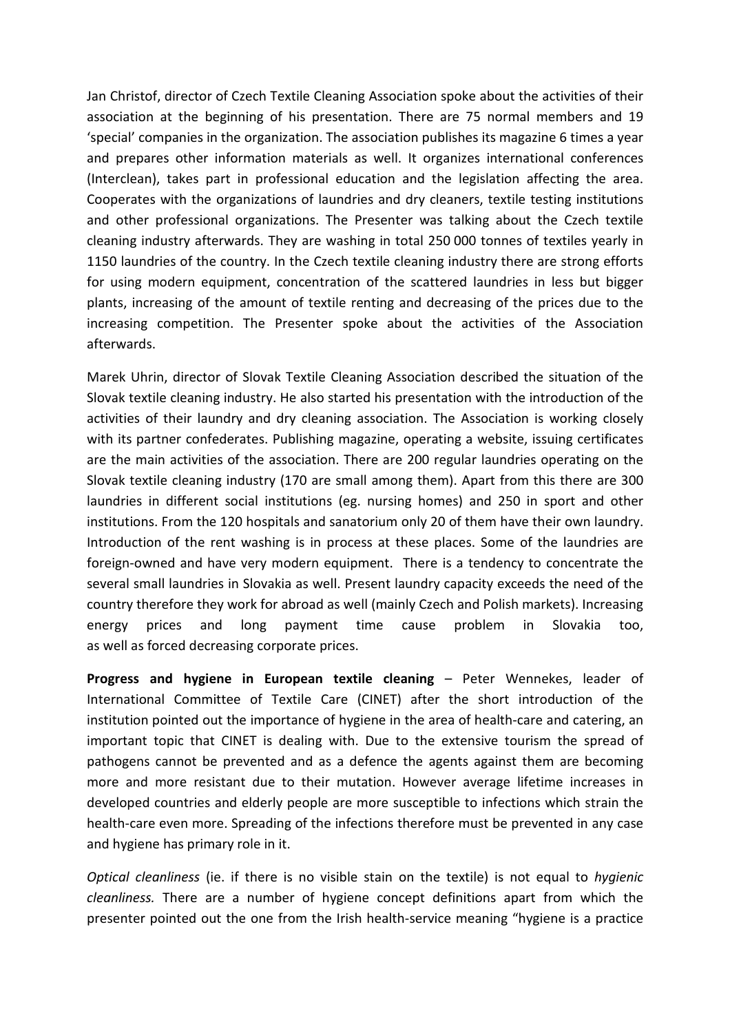Jan Christof, director of Czech Textile Cleaning Association spoke about the activities of their association at the beginning of his presentation. There are 75 normal members and 19 'special' companies in the organization. The association publishes its magazine 6 times a year and prepares other information materials as well. It organizes international conferences (Interclean), takes part in professional education and the legislation affecting the area. Cooperates with the organizations of laundries and dry cleaners, textile testing institutions and other professional organizations. The Presenter was talking about the Czech textile cleaning industry afterwards. They are washing in total 250 000 tonnes of textiles yearly in 1150 laundries of the country. In the Czech textile cleaning industry there are strong efforts for using modern equipment, concentration of the scattered laundries in less but bigger plants, increasing of the amount of textile renting and decreasing of the prices due to the increasing competition. The Presenter spoke about the activities of the Association afterwards.

Marek Uhrin, director of Slovak Textile Cleaning Association described the situation of the Slovak textile cleaning industry. He also started his presentation with the introduction of the activities of their laundry and dry cleaning association. The Association is working closely with its partner confederates. Publishing magazine, operating a website, issuing certificates are the main activities of the association. There are 200 regular laundries operating on the Slovak textile cleaning industry (170 are small among them). Apart from this there are 300 laundries in different social institutions (eg. nursing homes) and 250 in sport and other institutions. From the 120 hospitals and sanatorium only 20 of them have their own laundry. Introduction of the rent washing is in process at these places. Some of the laundries are foreign-owned and have very modern equipment. There is a tendency to concentrate the several small laundries in Slovakia as well. Present laundry capacity exceeds the need of the country therefore they work for abroad as well (mainly Czech and Polish markets). Increasing energy prices and long payment time cause problem in Slovakia too, as well as forced decreasing corporate prices.

Progress and hygiene in European textile cleaning – Peter Wennekes, leader of International Committee of Textile Care (CINET) after the short introduction of the institution pointed out the importance of hygiene in the area of health-care and catering, an important topic that CINET is dealing with. Due to the extensive tourism the spread of pathogens cannot be prevented and as a defence the agents against them are becoming more and more resistant due to their mutation. However average lifetime increases in developed countries and elderly people are more susceptible to infections which strain the health-care even more. Spreading of the infections therefore must be prevented in any case and hygiene has primary role in it.

Optical cleanliness (ie. if there is no visible stain on the textile) is not equal to hygienic cleanliness. There are a number of hygiene concept definitions apart from which the presenter pointed out the one from the Irish health-service meaning "hygiene is a practice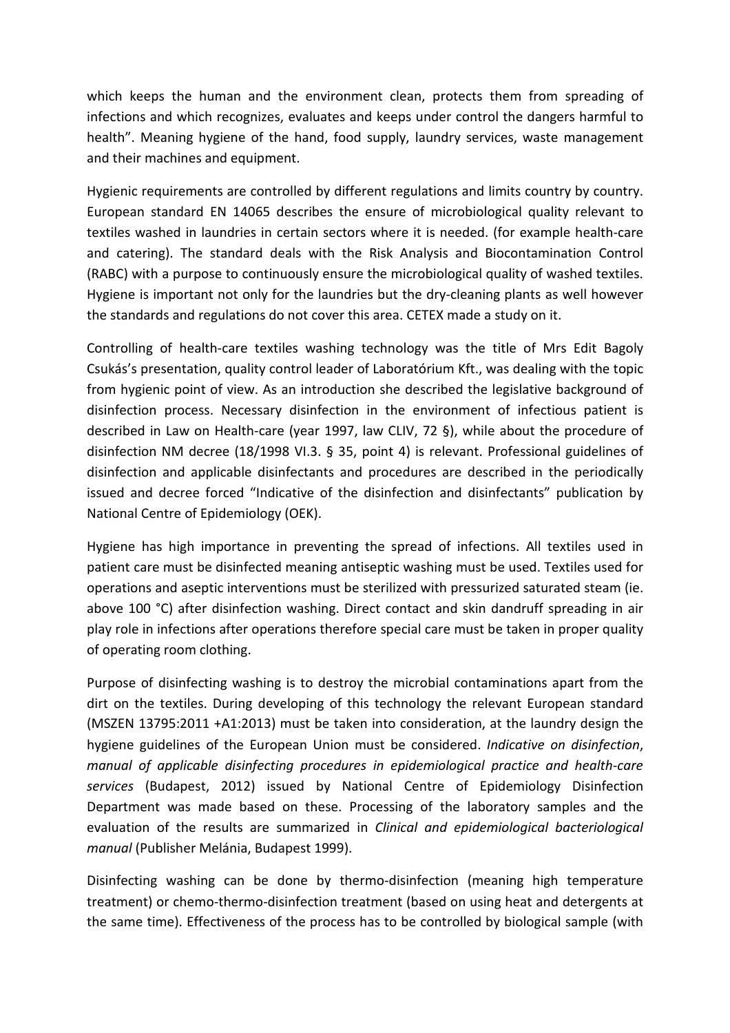which keeps the human and the environment clean, protects them from spreading of infections and which recognizes, evaluates and keeps under control the dangers harmful to health". Meaning hygiene of the hand, food supply, laundry services, waste management and their machines and equipment.

Hygienic requirements are controlled by different regulations and limits country by country. European standard EN 14065 describes the ensure of microbiological quality relevant to textiles washed in laundries in certain sectors where it is needed. (for example health-care and catering). The standard deals with the Risk Analysis and Biocontamination Control (RABC) with a purpose to continuously ensure the microbiological quality of washed textiles. Hygiene is important not only for the laundries but the dry-cleaning plants as well however the standards and regulations do not cover this area. CETEX made a study on it.

Controlling of health-care textiles washing technology was the title of Mrs Edit Bagoly Csukás's presentation, quality control leader of Laboratórium Kft., was dealing with the topic from hygienic point of view. As an introduction she described the legislative background of disinfection process. Necessary disinfection in the environment of infectious patient is described in Law on Health-care (year 1997, law CLIV, 72 §), while about the procedure of disinfection NM decree (18/1998 VI.3. § 35, point 4) is relevant. Professional guidelines of disinfection and applicable disinfectants and procedures are described in the periodically issued and decree forced "Indicative of the disinfection and disinfectants" publication by National Centre of Epidemiology (OEK).

Hygiene has high importance in preventing the spread of infections. All textiles used in patient care must be disinfected meaning antiseptic washing must be used. Textiles used for operations and aseptic interventions must be sterilized with pressurized saturated steam (ie. above 100 °C) after disinfection washing. Direct contact and skin dandruff spreading in air play role in infections after operations therefore special care must be taken in proper quality of operating room clothing.

Purpose of disinfecting washing is to destroy the microbial contaminations apart from the dirt on the textiles. During developing of this technology the relevant European standard (MSZEN 13795:2011 +A1:2013) must be taken into consideration, at the laundry design the hygiene guidelines of the European Union must be considered. Indicative on disinfection, manual of applicable disinfecting procedures in epidemiological practice and health-care services (Budapest, 2012) issued by National Centre of Epidemiology Disinfection Department was made based on these. Processing of the laboratory samples and the evaluation of the results are summarized in Clinical and epidemiological bacteriological manual (Publisher Melánia, Budapest 1999).

Disinfecting washing can be done by thermo-disinfection (meaning high temperature treatment) or chemo-thermo-disinfection treatment (based on using heat and detergents at the same time). Effectiveness of the process has to be controlled by biological sample (with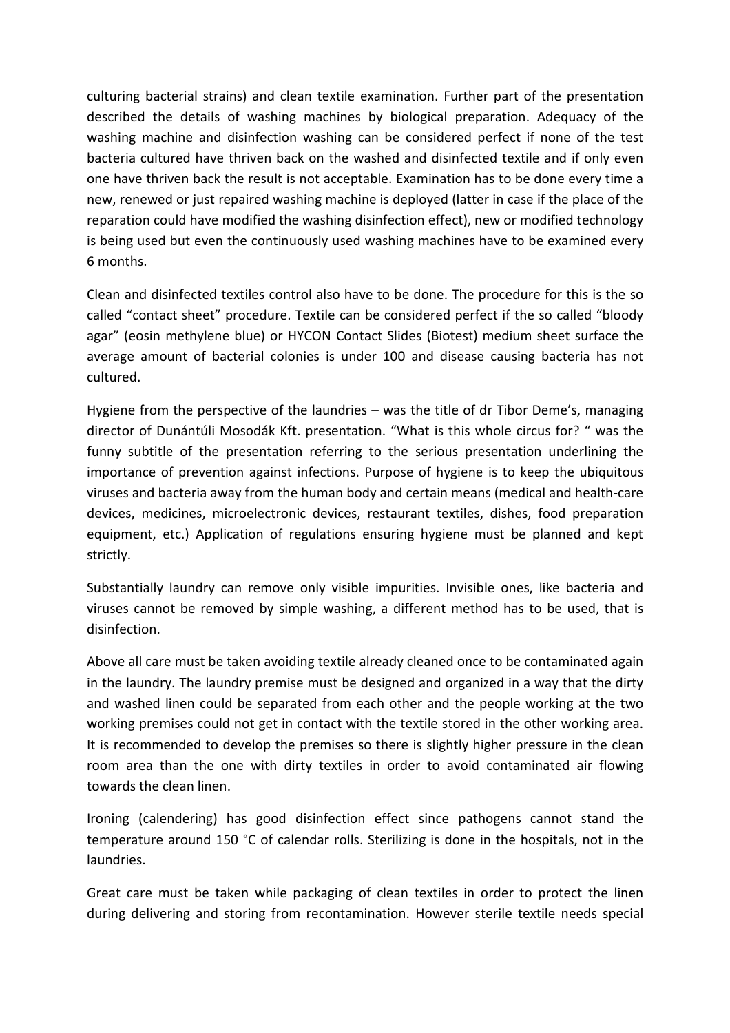culturing bacterial strains) and clean textile examination. Further part of the presentation described the details of washing machines by biological preparation. Adequacy of the washing machine and disinfection washing can be considered perfect if none of the test bacteria cultured have thriven back on the washed and disinfected textile and if only even one have thriven back the result is not acceptable. Examination has to be done every time a new, renewed or just repaired washing machine is deployed (latter in case if the place of the reparation could have modified the washing disinfection effect), new or modified technology is being used but even the continuously used washing machines have to be examined every 6 months.

Clean and disinfected textiles control also have to be done. The procedure for this is the so called "contact sheet" procedure. Textile can be considered perfect if the so called "bloody agar" (eosin methylene blue) or HYCON Contact Slides (Biotest) medium sheet surface the average amount of bacterial colonies is under 100 and disease causing bacteria has not cultured.

Hygiene from the perspective of the laundries – was the title of dr Tibor Deme's, managing director of Dunántúli Mosodák Kft. presentation. "What is this whole circus for? " was the funny subtitle of the presentation referring to the serious presentation underlining the importance of prevention against infections. Purpose of hygiene is to keep the ubiquitous viruses and bacteria away from the human body and certain means (medical and health-care devices, medicines, microelectronic devices, restaurant textiles, dishes, food preparation equipment, etc.) Application of regulations ensuring hygiene must be planned and kept strictly.

Substantially laundry can remove only visible impurities. Invisible ones, like bacteria and viruses cannot be removed by simple washing, a different method has to be used, that is disinfection.

Above all care must be taken avoiding textile already cleaned once to be contaminated again in the laundry. The laundry premise must be designed and organized in a way that the dirty and washed linen could be separated from each other and the people working at the two working premises could not get in contact with the textile stored in the other working area. It is recommended to develop the premises so there is slightly higher pressure in the clean room area than the one with dirty textiles in order to avoid contaminated air flowing towards the clean linen.

Ironing (calendering) has good disinfection effect since pathogens cannot stand the temperature around 150 °C of calendar rolls. Sterilizing is done in the hospitals, not in the laundries.

Great care must be taken while packaging of clean textiles in order to protect the linen during delivering and storing from recontamination. However sterile textile needs special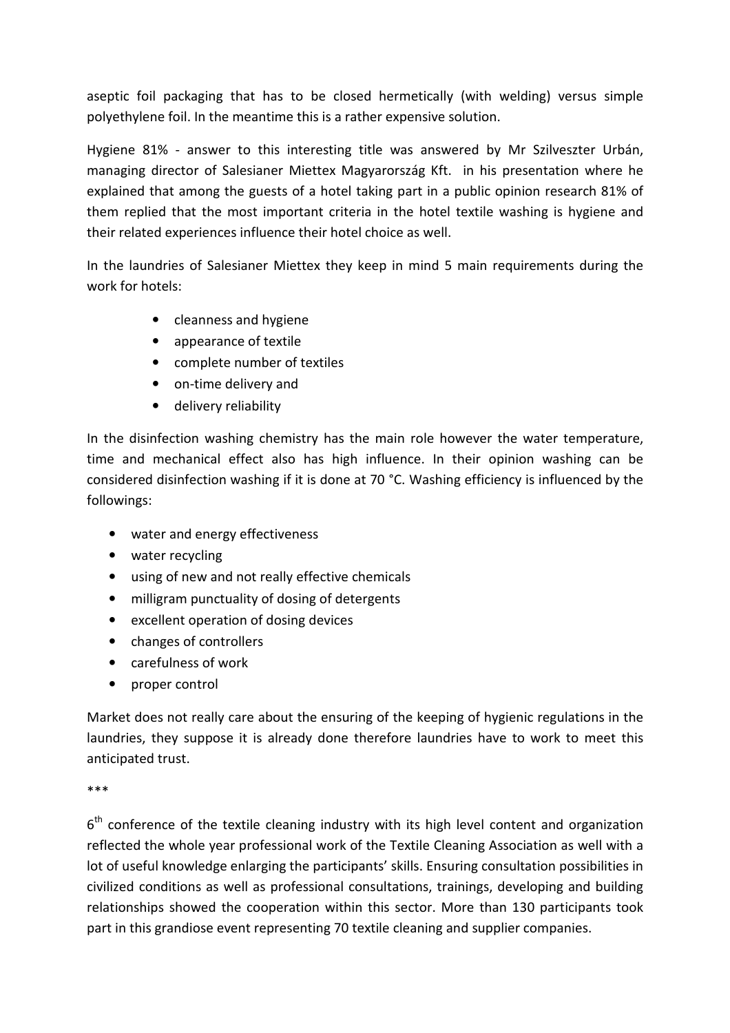aseptic foil packaging that has to be closed hermetically (with welding) versus simple polyethylene foil. In the meantime this is a rather expensive solution.

Hygiene 81% - answer to this interesting title was answered by Mr Szilveszter Urbán, managing director of Salesianer Miettex Magyarország Kft. in his presentation where he explained that among the guests of a hotel taking part in a public opinion research 81% of them replied that the most important criteria in the hotel textile washing is hygiene and their related experiences influence their hotel choice as well.

In the laundries of Salesianer Miettex they keep in mind 5 main requirements during the work for hotels:

- cleanness and hygiene
- appearance of textile
- complete number of textiles
- on-time delivery and
- delivery reliability

In the disinfection washing chemistry has the main role however the water temperature, time and mechanical effect also has high influence. In their opinion washing can be considered disinfection washing if it is done at 70 °C. Washing efficiency is influenced by the followings:

- water and energy effectiveness
- water recycling
- using of new and not really effective chemicals
- milligram punctuality of dosing of detergents
- excellent operation of dosing devices
- changes of controllers
- carefulness of work
- proper control

Market does not really care about the ensuring of the keeping of hygienic regulations in the laundries, they suppose it is already done therefore laundries have to work to meet this anticipated trust.

\*\*\*

 $6<sup>th</sup>$  conference of the textile cleaning industry with its high level content and organization reflected the whole year professional work of the Textile Cleaning Association as well with a lot of useful knowledge enlarging the participants' skills. Ensuring consultation possibilities in civilized conditions as well as professional consultations, trainings, developing and building relationships showed the cooperation within this sector. More than 130 participants took part in this grandiose event representing 70 textile cleaning and supplier companies.